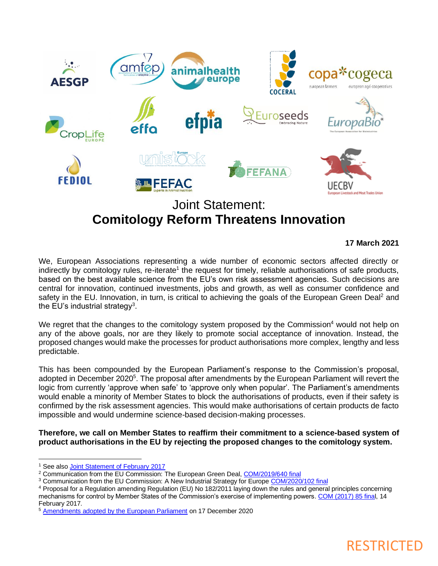

# **Comitology Reform Threatens Innovation**

### **17 March 2021**

We, European Associations representing a wide number of economic sectors affected directly or indirectly by comitology rules, re-iterate<sup>1</sup> the request for timely, reliable authorisations of safe products, based on the best available science from the EU's own risk assessment agencies. Such decisions are central for innovation, continued investments, jobs and growth, as well as consumer confidence and safety in the EU. Innovation, in turn, is critical to achieving the goals of the European Green Deal<sup>2</sup> and the EU's industrial strategy<sup>3</sup>.

We regret that the changes to the comitology system proposed by the Commission<sup>4</sup> would not help on any of the above goals, nor are they likely to promote social acceptance of innovation. Instead, the proposed changes would make the processes for product authorisations more complex, lengthy and less predictable.

This has been compounded by the European Parliament's response to the Commission's proposal, adopted in December 2020<sup>5</sup>. The proposal after amendments by the European Parliament will revert the logic from currently 'approve when safe' to 'approve only when popular'. The Parliament's amendments would enable a minority of Member States to block the authorisations of products, even if their safety is confirmed by the risk assessment agencies. This would make authorisations of certain products de facto impossible and would undermine science-based decision-making processes.

**Therefore, we call on Member States to reaffirm their commitment to a science-based system of product authorisations in the EU by rejecting the proposed changes to the comitology system.**

<sup>4</sup> Proposal for a Regulation amending Regulation (EU) No 182/2011 laying down the rules and general principles concerning mechanisms for control by Member States of the Commission's exercise of implementing powers[. COM \(2017\) 85 final,](https://www.europarl.europa.eu/RegData/docs_autres_institutions/commission_europeenne/com/2017/0085/COM_COM(2017)0085_EN.pdf) 14 February 2017.



<sup>&</sup>lt;sup>1</sup> See als[o Joint Statement of February 2017](https://www.fediol.eu/data/1521193640Concerned%20associations%20statement%20on%20Comitology%20-%2013.02.2017.pdf)

<sup>&</sup>lt;sup>2</sup> Communication from the EU Commission: The European Green Deal[, COM/2019/640 final](https://eur-lex.europa.eu/legal-content/EN/TXT/?qid=1576150542719&uri=COM%3A2019%3A640%3AFIN)

<sup>&</sup>lt;sup>3</sup> Communication from the EU Commission: A New Industrial Strategy for Europ[e COM/2020/102 final](https://eur-lex.europa.eu/legal-content/EN/TXT/?qid=1593086905382&uri=CELEX%3A52020DC0102)

<sup>5</sup> [Amendments adopted by the European Parliament](https://www.europarl.europa.eu/doceo/document/TA-9-2020-0364_EN.html) on 17 December 2020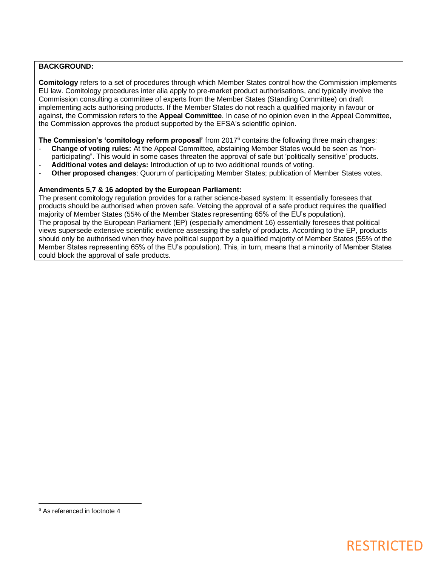#### **BACKGROUND:**

**Comitology** refers to a set of procedures through which Member States control how the Commission implements EU law. Comitology procedures inter alia apply to pre-market product authorisations, and typically involve the Commission consulting a committee of experts from the Member States (Standing Committee) on draft implementing acts authorising products. If the Member States do not reach a qualified majority in favour or against, the Commission refers to the **Appeal Committee**. In case of no opinion even in the Appeal Committee, the Commission approves the product supported by the EFSA's scientific opinion.

**The Commission's 'comitology reform proposal'** from 2017<sup>6</sup> contains the following three main changes:

- **Change of voting rules:** At the Appeal Committee, abstaining Member States would be seen as "nonparticipating". This would in some cases threaten the approval of safe but 'politically sensitive' products.
- **Additional votes and delays:** Introduction of up to two additional rounds of voting.
- **Other proposed changes**: Quorum of participating Member States; publication of Member States votes.

#### **Amendments 5,7 & 16 adopted by the European Parliament:**

The present comitology regulation provides for a rather science-based system: It essentially foresees that products should be authorised when proven safe. Vetoing the approval of a safe product requires the qualified majority of Member States (55% of the Member States representing 65% of the EU's population). The proposal by the European Parliament (EP) (especially amendment 16) essentially foresees that political views supersede extensive scientific evidence assessing the safety of products. According to the EP, products should only be authorised when they have political support by a qualified majority of Member States (55% of the Member States representing 65% of the EU's population). This, in turn, means that a minority of Member States could block the approval of safe products.

### RESTRICTED

<sup>6</sup> As referenced in footnote 4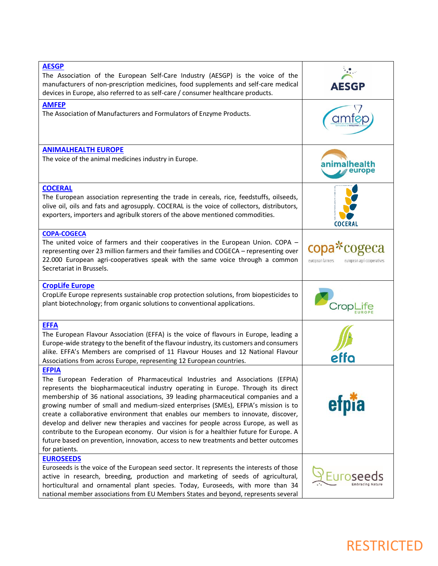| <b>AESGP</b><br>The Association of the European Self-Care Industry (AESGP) is the voice of the<br>manufacturers of non-prescription medicines, food supplements and self-care medical<br>devices in Europe, also referred to as self-care / consumer healthcare products.                                                                                                                                                                                                                                                                                                                                                                                                                                                                     | <b>AESGP</b>                                                  |
|-----------------------------------------------------------------------------------------------------------------------------------------------------------------------------------------------------------------------------------------------------------------------------------------------------------------------------------------------------------------------------------------------------------------------------------------------------------------------------------------------------------------------------------------------------------------------------------------------------------------------------------------------------------------------------------------------------------------------------------------------|---------------------------------------------------------------|
| <b>AMFEP</b><br>The Association of Manufacturers and Formulators of Enzyme Products.                                                                                                                                                                                                                                                                                                                                                                                                                                                                                                                                                                                                                                                          |                                                               |
| <b>ANIMALHEALTH EUROPE</b>                                                                                                                                                                                                                                                                                                                                                                                                                                                                                                                                                                                                                                                                                                                    |                                                               |
| The voice of the animal medicines industry in Europe.                                                                                                                                                                                                                                                                                                                                                                                                                                                                                                                                                                                                                                                                                         | anımalhea                                                     |
| <b>COCERAL</b>                                                                                                                                                                                                                                                                                                                                                                                                                                                                                                                                                                                                                                                                                                                                |                                                               |
| The European association representing the trade in cereals, rice, feedstuffs, oilseeds,<br>olive oil, oils and fats and agrosupply. COCERAL is the voice of collectors, distributors,<br>exporters, importers and agribulk storers of the above mentioned commodities.                                                                                                                                                                                                                                                                                                                                                                                                                                                                        | COCERAL                                                       |
| <b>COPA-COGECA</b><br>The united voice of farmers and their cooperatives in the European Union. COPA -<br>representing over 23 million farmers and their families and COGECA - representing over<br>22.000 European agri-cooperatives speak with the same voice through a common<br>Secretariat in Brussels.                                                                                                                                                                                                                                                                                                                                                                                                                                  | copa*cogeca<br>european farmers<br>european agri-cooperatives |
| <b>CropLife Europe</b><br>CropLife Europe represents sustainable crop protection solutions, from biopesticides to<br>plant biotechnology; from organic solutions to conventional applications.                                                                                                                                                                                                                                                                                                                                                                                                                                                                                                                                                |                                                               |
| <b>EFFA</b><br>The European Flavour Association (EFFA) is the voice of flavours in Europe, leading a<br>Europe-wide strategy to the benefit of the flavour industry, its customers and consumers<br>alike. EFFA's Members are comprised of 11 Flavour Houses and 12 National Flavour<br>Associations from across Europe, representing 12 European countries.                                                                                                                                                                                                                                                                                                                                                                                  | effo                                                          |
| <b>EFPIA</b><br>The European Federation of Pharmaceutical Industries and Associations (EFPIA)<br>represents the biopharmaceutical industry operating in Europe. Through its direct<br>membership of 36 national associations, 39 leading pharmaceutical companies and a<br>growing number of small and medium-sized enterprises (SMEs), EFPIA's mission is to<br>create a collaborative environment that enables our members to innovate, discover,<br>develop and deliver new therapies and vaccines for people across Europe, as well as<br>contribute to the European economy. Our vision is for a healthier future for Europe. A<br>future based on prevention, innovation, access to new treatments and better outcomes<br>for patients. | etp                                                           |
| <b>EUROSEEDS</b><br>Euroseeds is the voice of the European seed sector. It represents the interests of those<br>active in research, breeding, production and marketing of seeds of agricultural,<br>horticultural and ornamental plant species. Today, Euroseeds, with more than 34<br>national member associations from EU Members States and beyond, represents several                                                                                                                                                                                                                                                                                                                                                                     |                                                               |

## RESTRICTED